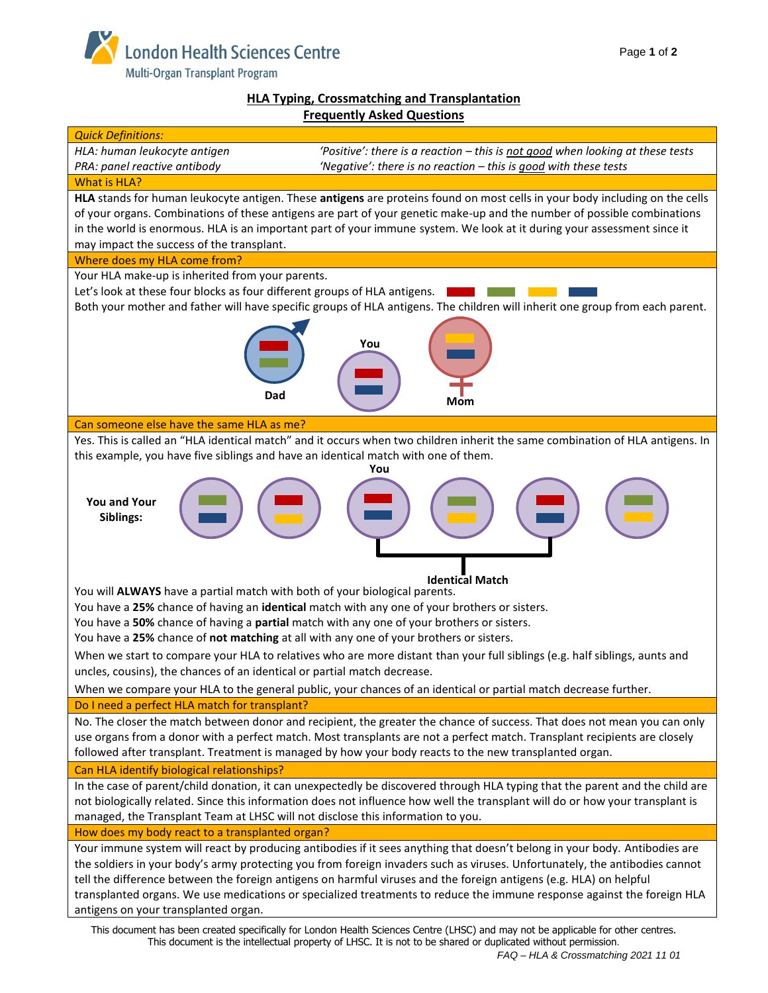

# **HLA Typing, Crossmatching and Transplantation Frequently Asked Questions**



This document is the intellectual property of LHSC. It is not to be shared or duplicated without permission.